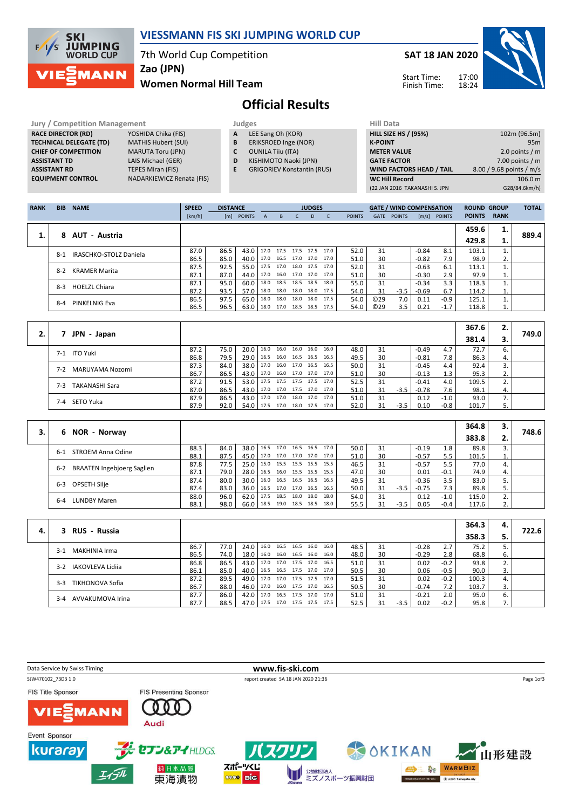

## VIESSMANN FIS SKI JUMPING WORLD CUP

7th World Cup Competition

Zao (JPN)

### Women Normal Hill Team



Start Time: Finish Time:



# Official Results

#### Jury / Competition Management Judges<br>
RACE DIRECTOR (RD) YOSHIDA Chika (FIS) A LEE RACE DIRECTOR (RD) **TECHNICAL DELEGATE (TD)** MATHIS Hubert (SUI)<br> **CHIEF OF COMPETITION** MARUTA Toru (JPN) CHIEF OF COMPETITION ASSISTANT TD LAIS Michael (GER) **ASSISTANT RD** TEPES Miran (FIS)<br> **EQUIPMENT CONTROL** NADARKIEWICZ Re

NADARKIEWICZ Renata (FIS)

- A LEE Sang Oh (KOR)
- **B** ERIKSROED Inge (NOR)<br>**C** OUNILA Tiiu (ITA) OUNILA Tiiu (ITA)
- D KISHIMOTO Naoki (JPN)
- E GRIGORIEV Konstantin (RUS)
	-

| Hill Data                       |                          |
|---------------------------------|--------------------------|
| <b>HILL SIZE HS / (95%)</b>     | 102m (96.5m)             |
| <b>K-POINT</b>                  | 95m                      |
| <b>METER VALUE</b>              | 2.0 points $/m$          |
| <b>GATE FACTOR</b>              | 7.00 points $/m$         |
| <b>WIND FACTORS HEAD / TAIL</b> | 8.00 / 9.68 points / m/s |
| <b>WC Hill Record</b>           | 106.0 m                  |
| (22 JAN 2016 TAKANASHI S. JPN   | G28/84.6km/h)            |
|                                 |                          |

| <b>RANK</b> | <b>BIB</b> | <b>NAME</b>            | <b>SPEED</b> | <b>DISTANCE</b> |               |      |                     |                | <b>JUDGES</b> |      |               |             | <b>GATE / WIND COMPENSATION</b> |         |                  | <b>ROUND GROUP</b> |             | <b>TOTAL</b> |
|-------------|------------|------------------------|--------------|-----------------|---------------|------|---------------------|----------------|---------------|------|---------------|-------------|---------------------------------|---------|------------------|--------------------|-------------|--------------|
|             |            |                        | [km/h]       | [m]             | <b>POINTS</b> | A    | <sub>B</sub>        |                | D.            | F.   | <b>POINTS</b> | <b>GATE</b> | <b>POINTS</b>                   |         | $[m/s]$ POINTS   | <b>POINTS</b>      | <b>RANK</b> |              |
|             |            |                        |              |                 |               |      |                     |                |               |      |               |             |                                 |         |                  | 459.6              | 1.          |              |
|             |            | 8 AUT - Austria        |              |                 |               |      |                     |                |               |      |               |             |                                 |         |                  | 429.8              | ı.          | 889.4        |
|             | $8 - 1$    | IRASCHKO-STOLZ Daniela | 87.0         | 86.5            | 43.0          | 17.0 | 17.5 17.5 17.5      |                |               | 17.0 | 52.0          | 31          |                                 | $-0.84$ | 8.1              | 103.1              | 1.          |              |
|             |            |                        | 86.5         | 85.0            | 40.0          |      | 17.0 16.5 17.0 17.0 |                |               | 17.0 | 51.0          | 30          |                                 | $-0.82$ | 7.9 <sub>1</sub> | 98.9               | 2.          |              |
|             | $8-2$      | <b>KRAMER Marita</b>   | 87.5         | 92.5            | 55.0          | 17.5 | 17.0                | 18.0           | 17.5          | 17.0 | 52.0          | 31          |                                 | $-0.63$ | 6.1              | 113.1              |             |              |
|             |            |                        | 87.1         | 87.0            | 44.0          | 17.0 |                     | 16.0 17.0 17.0 |               | 17.0 | 51.0          | 30          |                                 | $-0.30$ | 2.9              | 97.9               | 1.          |              |
|             | $8 - 3$    | <b>HOELZL Chiara</b>   | 87.1         | 95.0            | 60.0          | 18.0 | 18.5                | 18.5 18.5      |               | 18.0 | 55.0          | 31          |                                 | $-0.34$ | 3.3              | 118.3              | 1.          |              |
|             |            |                        | 87.2         | 93.5            | 57.0          | 18.0 | 18.0 18.0           |                | 18.0          | 17.5 | 54.0          | 31          | $-3.5$                          | $-0.69$ | 6.7              | 114.2              | 1.          |              |
|             | $8-4$      | PINKELNIG Eva          | 86.5         | 97.5            | 65.0          | 18.0 | 18.0                | 18.0           | 18.0          | 17.5 | 54.0          | O(29)       | 7.0                             | 0.11    | -0.9             | 125.1              |             |              |
|             |            |                        | 86.5         | 96.5            | 63.0          | 18.0 | 17.0 18.5           |                | 18.5          | 17.5 | 54.0          | ©29         | 3.5                             | 0.21    | $-1.7$           | 118.8              | 1.          |              |

|                          |      |      |               |                                 |                |           |                     |      |      |    |        |         |        | 367.6 | 2. |       |
|--------------------------|------|------|---------------|---------------------------------|----------------|-----------|---------------------|------|------|----|--------|---------|--------|-------|----|-------|
| JPN - Japan              |      |      |               |                                 |                |           |                     |      |      |    |        |         |        | 381.4 |    | 749.0 |
| 7-1 ITO Yuki             | 87.2 | 75.0 | $20.0$   16.0 |                                 | 16.0           |           | 16.0 16.0           | 16.0 | 48.0 | 31 |        | $-0.49$ | 4.7    | 72.7  |    |       |
|                          | 86.8 | 79.5 | 29.0   16.5   |                                 | 16.0 16.5 16.5 |           |                     | 16.5 | 49.5 | 30 |        | $-0.81$ | 7.8    | 86.3  | 4. |       |
|                          | 87.3 | 84.0 | $38.0$   17.0 |                                 |                |           | 16.0 17.0 16.5      | 16.5 | 50.0 | 31 |        | $-0.45$ | 4.4    | 92.4  | 3. |       |
| MARUYAMA Nozomi<br>$7-2$ | 86.7 | 86.5 | 43.0 17.0     |                                 |                |           | 16.0 17.0 17.0      | 17.0 | 51.0 | 30 |        | $-0.13$ |        | 95.3  | 2. |       |
| TAKANASHI Sara<br>$7-3$  | 87.2 | 91.5 | $53.0$   17.5 |                                 |                |           | 17.5 17.5 17.5 17.0 |      | 52.5 | 31 |        | $-0.41$ | 4.0    | 109.5 | 2. |       |
|                          | 87.0 | 86.5 |               | 43.0   17.0 17.0 17.5 17.0 17.0 |                |           |                     |      | 51.0 | 31 | $-3.5$ | $-0.78$ | 7.6    | 98.1  | 4. |       |
|                          | 87.9 | 86.5 | 43.0 17.0     |                                 | 17.0           | 18.0 17.0 |                     | 17.0 | 51.0 | 31 |        | 0.12    | $-1.0$ | 93.0  | 7. |       |
| 7-4 SETO Yuka            | 87.9 | 92.0 | 54.0 17.5     |                                 | 17.0           |           | 18.0 17.5           | 17.0 | 52.0 | 31 | -3.5   | 0.10    | $-0.8$ | 101.7 |    |       |

|    |                                          |      |      |      |      |                |                |                     |      |      |    |        |         |        | 364.8 | 3. |       |
|----|------------------------------------------|------|------|------|------|----------------|----------------|---------------------|------|------|----|--------|---------|--------|-------|----|-------|
| 3. | NOR - Norway<br>6.                       |      |      |      |      |                |                |                     |      |      |    |        |         |        | 383.8 | z. | 748.6 |
|    | STROEM Anna Odine<br>$6-1$               | 88.3 | 84.0 | 38.0 | 16.5 | 17.0 16.5 16.5 |                |                     | 17.0 | 50.0 | 31 |        | $-0.19$ | 1.8    | 89.8  | 3. |       |
|    |                                          | 88.1 | 87.5 | 45.0 | 17.0 | 17.0 17.0 17.0 |                |                     | 17.0 | 51.0 | 30 |        | $-0.57$ | 5.5    | 101.5 | 1. |       |
|    | <b>BRAATEN Ingebjoerg Saglien</b><br>6-2 | 87.8 | 77.5 | 25.0 | 15.0 | 15.5 15.5 15.5 |                |                     | 15.5 | 46.5 | 31 |        | $-0.57$ | 5.5    | 77.0  | 4. |       |
|    |                                          | 87.1 | 79.0 | 28.0 | 16.5 |                |                | 16.0 15.5 15.5 15.5 |      | 47.0 | 30 |        | 0.01    | $-0.1$ | 74.9  | 4. |       |
|    | OPSETH Silje                             | 87.4 | 80.0 | 30.0 | 16.0 | 16.5 16.5 16.5 |                |                     | 16.5 | 49.5 | 31 |        | $-0.36$ | 3.5    | 83.0  |    |       |
|    | $6 - 3$                                  | 87.4 | 83.0 | 36.0 | 16.5 | 17.0 17.0 16.5 |                |                     | 16.5 | 50.0 | 31 | $-3.5$ | $-0.75$ | 7.3    | 89.8  | 5. |       |
|    |                                          | 88.0 | 96.0 | 62.0 | 17.5 | 18.5           | 18.0           | 18.0                | 18.0 | 54.0 | 31 |        | 0.12    | -1.0   | 115.0 | 2. |       |
|    | <b>LUNDBY Maren</b><br>$6 - 4$           | 88.1 | 98.0 | 66.0 | 18.5 |                | 19.0 18.5 18.5 |                     | 18.0 | 55.5 | 31 | $-3.5$ | 0.05    | $-0.4$ | 117.6 |    |       |

|    |                             |      |      |                               |                     |                |                |      |      |    |      |         |        | 364.3 | 4. |       |
|----|-----------------------------|------|------|-------------------------------|---------------------|----------------|----------------|------|------|----|------|---------|--------|-------|----|-------|
| 4. | 3 RUS - Russia              |      |      |                               |                     |                |                |      |      |    |      |         |        | 358.3 |    | 722.6 |
|    | MAKHINIA Irma<br>$3-1$      | 86.7 | 77.0 | 24.0 16.0                     |                     | 16.5 16.5 16.0 |                | 16.0 | 48.5 | 31 |      | $-0.28$ | 2.7    | 75.2  |    |       |
|    |                             | 86.5 | 74.0 | 18.0                          | 16.0 16.0 16.5 16.0 |                |                | 16.0 | 48.0 | 30 |      | $-0.29$ | 2.8    | 68.8  | 6. |       |
|    | IAKOVLEVA Lidija<br>$3-2$   | 86.8 | 86.5 | 43.0   17.0 17.0 17.5 17.0    |                     |                |                | 16.5 | 51.0 | 31 |      | 0.02    | $-0.2$ | 93.8  | 2. |       |
|    |                             | 86.1 | 85.0 | 40.0                          | 16.5                |                | 16.5 17.5 17.0 | 17.0 | 50.5 | 30 |      | 0.06    | $-0.5$ | 90.0  | 3. |       |
|    | TIKHONOVA Sofia<br>$3-3$    | 87.2 | 89.5 | 49.0   17.0 17.0 17.5 17.5    |                     |                |                | 17.0 | 51.5 | 31 |      | 0.02    | $-0.2$ | 100.3 | 4. |       |
|    |                             | 86.7 | 88.0 | 46.0 17.0 16.0 17.5 17.0 16.5 |                     |                |                |      | 50.5 | 30 |      | $-0.74$ | 7.2    | 103.7 | 3. |       |
|    | AVVAKUMOVA Irina<br>$3 - 4$ | 87.7 | 86.0 | $42.0$   17.0                 |                     | 16.5 17.5 17.0 |                | 17.0 | 51.0 | 31 |      | $-0.21$ | 2.0    | 95.0  | 6. |       |
|    |                             | 87.7 | 88.5 | 47.0 17.5                     |                     | 17.0 17.5 17.5 |                | 17.5 | 52.5 | 31 | -3.5 | 0.02    | $-0.2$ | 95.8  | 7. |       |

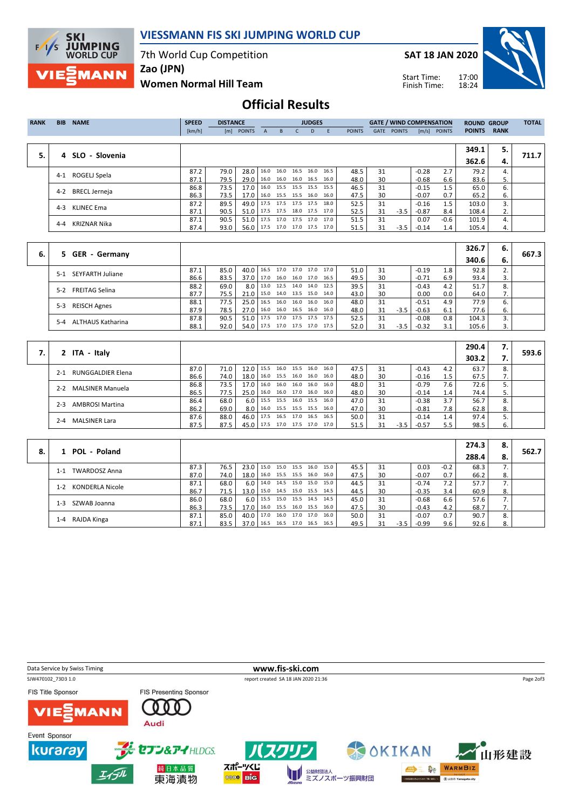

## VIESSMANN FIS SKI JUMPING WORLD CUP

7th World Cup Competition

SAT 18 JAN 2020

Start Time: Finish Time:



Zao (JPN)

Women Normal Hill Team

## Official Results

| <b>RANK</b> | <b>BIB</b> | <b>NAME</b>          | <b>SPEED</b> | <b>DISTANCE</b> |                                 |              |                          | <b>JUDGES</b> |                            |               |      | <b>GATE / WIND COMPENSATION</b> |         |                | <b>ROUND GROUP</b> |                  | <b>TOTAL</b> |
|-------------|------------|----------------------|--------------|-----------------|---------------------------------|--------------|--------------------------|---------------|----------------------------|---------------|------|---------------------------------|---------|----------------|--------------------|------------------|--------------|
|             |            |                      | [km/h]       |                 | [m] POINTS                      | $\mathsf{A}$ | B                        | D             |                            | <b>POINTS</b> | GATE | <b>POINTS</b>                   |         | $[m/s]$ POINTS | <b>POINTS</b>      | <b>RANK</b>      |              |
|             |            |                      |              |                 |                                 |              |                          |               |                            |               |      |                                 |         |                |                    |                  |              |
|             |            |                      |              |                 |                                 |              |                          |               |                            |               |      |                                 |         |                | 349.1              | 5.               |              |
| 5.          |            | 4 SLO - Slovenia     |              |                 |                                 |              |                          |               |                            |               |      |                                 |         |                | 362.6              | 4.               | 711.7        |
|             | $4-1$      | ROGELJ Spela         | 87.2         | 79.0            | 28.0                            |              |                          |               | $16.0$ 16.0 16.5 16.0 16.5 | 48.5          | 31   |                                 | $-0.28$ | 2.7            | 79.2               | $\mathbf{4}$     |              |
|             |            |                      | 87.1         | 79.5            | 29.0                            |              | 16.0 16.0 16.0 16.5      |               | 16.0                       | 48.0          | 30   |                                 | $-0.68$ | 6.6            | 83.6               | 5.               |              |
|             | $4 - 2$    | <b>BRECL Jerneja</b> | 86.8         | 73.5            | 17.0                            |              | 16.0 15.5 15.5 15.5      |               | 15.5                       | 46.5          | 31   |                                 | $-0.15$ | 1.5            | 65.0               | 6.               |              |
|             |            |                      | 86.3         | 73.5            | 17.0                            |              | 16.0 15.5 15.5 16.0 16.0 |               |                            | 47.5          | 30   |                                 | $-0.07$ | 0.7            | 65.2               | 6.               |              |
|             | $4 - 3$    | <b>KLINEC Ema</b>    | 87.2         | 89.5            | 49.0                            |              | 17.5 17.5 17.5 17.5      |               | 18.0                       | 52.5          | 31   |                                 | $-0.16$ | 1.5            | 103.0              | 3.               |              |
|             |            |                      | 87.1         | 90.5            | 51.0                            |              |                          |               | $17.5$ 17.5 18.0 17.5 17.0 | 52.5          | 31   | $-3.5$                          | $-0.87$ | 8.4            | 108.4              | 2.               |              |
|             | 4-4        | <b>KRIZNAR Nika</b>  | 87.1         | 90.5            | 51.0 17.5 17.0 17.5 17.0 17.0   |              |                          |               |                            | 51.5          | 31   |                                 | 0.07    | $-0.6$         | 101.9              | $\overline{4}$ . |              |
|             |            |                      | 87.4         | 93.0            | 56.0   17.5 17.0 17.0 17.5 17.0 |              |                          |               |                            | 51.5          | 31   | $-3.5$                          | $-0.14$ | $1.4^{\circ}$  | 105.4              | 4.               |              |
|             |            |                      |              |                 |                                 |              |                          |               |                            |               |      |                                 |         |                |                    |                  |              |

|    |                            |      |      |                  |                                 |      |                |                |      |    |        |         |     | 326.7 | 6. | 667.3 |
|----|----------------------------|------|------|------------------|---------------------------------|------|----------------|----------------|------|----|--------|---------|-----|-------|----|-------|
| 6. | 5 GER - Germany            |      |      |                  |                                 |      |                |                |      |    |        |         |     | 340.6 | 6. |       |
|    | 5-1 SEYFARTH Juliane       | 87.1 | 85.0 | 40.0             | 16.5                            | 17.0 |                | 17.0 17.0 17.0 | 51.0 | 31 |        | $-0.19$ | 1.8 | 92.8  |    |       |
|    |                            | 86.6 | 83.5 | 37.0             | 17.0                            | 16.0 | 16.0 17.0 16.5 |                | 49.5 | 30 |        | $-0.71$ | 6.9 | 93.4  |    |       |
|    | FREITAG Selina<br>$5-2$    | 88.2 | 69.0 | 8.0 <sub>1</sub> | 13.0 12.5 14.0 14.0 12.5        |      |                |                | 39.5 | 31 |        | $-0.43$ | 4.2 | 51.7  |    |       |
|    |                            | 87.7 | 75.5 | 21.0             | 15.0 14.0 13.5 15.0 14.0        |      |                |                | 43.0 | 30 |        | 0.00    | 0.0 | 64.0  | 7. |       |
|    | <b>REISCH Agnes</b><br>5-3 | 88.1 | 77.5 | 25.0             | 16.5 16.0 16.0 16.0 16.0        |      |                |                | 48.0 | 31 |        | $-0.51$ | 4.9 | 77.9  |    |       |
|    |                            | 87.9 | 78.5 | 27.0             | 16.0 16.0 16.5 16.0 16.0        |      |                |                | 48.0 | 31 | $-3.5$ | $-0.63$ | 6.1 | 77.6  | ь. |       |
|    | ALTHAUS Katharina<br>$5-4$ | 87.8 | 90.5 | 51.0 l           | 17.5                            | 17.0 | 17.5 17.5 17.5 |                | 52.5 | 31 |        | $-0.08$ | 0.8 | 104.3 |    |       |
|    |                            | 88.1 | 92.0 |                  | 54.0   17.5 17.0 17.5 17.0 17.5 |      |                |                | 52.0 |    | $-3.5$ | $-0.32$ | 3.1 | 105.6 |    |       |

|                                     |      |      |      |      |      |                |                |      |      |    |        |         |     | 290.4 | 7. |       |
|-------------------------------------|------|------|------|------|------|----------------|----------------|------|------|----|--------|---------|-----|-------|----|-------|
| 2 ITA - Italy                       |      |      |      |      |      |                |                |      |      |    |        |         |     | 303.2 |    | 593.6 |
| <b>RUNGGALDIER Elena</b><br>$2 - 1$ | 87.0 | 71.0 | 12.0 | 15.5 | 16.0 |                | 15.5 16.0      | 16.0 | 47.5 | 31 |        | $-0.43$ | 4.2 | 63.7  | 8. |       |
|                                     | 86.6 | 74.0 | 18.0 | 16.0 |      |                | 15.5 16.0 16.0 | 16.0 | 48.0 | 30 |        | $-0.16$ |     | 67.5  |    |       |
| <b>MALSINER Manuela</b><br>$2 - 2$  | 86.8 | 73.5 | 17.0 | 16.0 | 16.0 | 16.0           | 16.0           | 16.0 | 48.0 | 31 |        | $-0.79$ | 7.6 | 72.6  |    |       |
|                                     | 86.5 | 77.5 | 25.0 | 16.0 |      |                | 16.0 17.0 16.0 | 16.0 | 48.0 | 30 |        | $-0.14$ | 1.4 | 74.4  |    |       |
| <b>AMBROSI Martina</b><br>$2 - 3$   | 86.4 | 68.0 | 6.0  | 15.5 | 15.5 |                | 16.0 15.5      | 16.0 | 47.0 | 31 |        | $-0.38$ | 3.7 | 56.7  | 8. |       |
|                                     | 86.2 | 69.0 | 8.0  | 16.0 |      | 15.5 15.5 15.5 |                | 16.0 | 47.0 | 30 |        | $-0.81$ | 7.8 | 62.8  | 8. |       |
| $2 - 4$                             | 87.6 | 88.0 | 46.0 | 17.5 | 16.5 |                | 17.0 16.5      | 16.5 | 50.0 | 31 |        | $-0.14$ | 1.4 | 97.4  |    |       |
| <b>MALSINER Lara</b>                | 87.5 | 87.5 | 45.0 | 17.5 |      |                | 17.0 17.5 17.0 | 17.0 | 51.5 |    | $-3.5$ | $-0.57$ | 5.5 | 98.5  | 6. |       |

|    |                                 |      |      |                                 |                                |  |      |      |    |        |         |        | 274.3 | 8. |       |
|----|---------------------------------|------|------|---------------------------------|--------------------------------|--|------|------|----|--------|---------|--------|-------|----|-------|
| 8. | 1 POL - Poland                  |      |      |                                 |                                |  |      |      |    |        |         |        | 288.4 | 8. | 562.7 |
|    | <b>TWARDOSZ Anna</b><br>$1 - 1$ | 87.3 | 76.5 | 23.0   15.0 15.0 15.5 16.0      |                                |  | 15.0 | 45.5 | 31 |        | 0.03    | $-0.2$ | 68.3  |    |       |
|    |                                 | 87.0 | 74.0 | 18.0   16.0 15.5 15.5 16.0      |                                |  | 16.0 | 47.5 | 30 |        | $-0.07$ | 0.7    | 66.2  | 8. |       |
|    | KONDERLA Nicole<br>$1 - 2$      | 87.1 | 68.0 | 6.0                             | 14.0 14.5 15.0 15.0            |  | 15.0 | 44.5 | 31 |        | $-0.74$ | 7.2    | 57.7  |    |       |
|    |                                 | 86.7 | 71.5 | 13.0                            | 15.0 14.5 15.0 15.5 14.5       |  |      | 44.5 | 30 |        | $-0.35$ | 3.4    | 60.9  | 8. |       |
|    | SZWAB Joanna<br>1-3             | 86.0 | 68.0 |                                 | 6.0   15.5 15.0 15.5 14.5 14.5 |  |      | 45.0 | 31 |        | $-0.68$ | 6.6    | 57.6  |    |       |
|    |                                 | 86.3 | 73.5 | 17.0                            | 16.0 15.5 16.0 15.5            |  | 16.0 | 47.5 | 30 |        | $-0.43$ | 4.2    | 68.7  |    |       |
|    | RAJDA Kinga<br>1-4              | 87.1 | 85.0 | 40.0   17.0 16.0 17.0 17.0      |                                |  | 16.0 | 50.0 | 31 |        | $-0.07$ | 0.7    | 90.7  | 8. |       |
|    |                                 | 87.1 | 83.5 | 37.0   16.5 16.5 17.0 16.5 16.5 |                                |  |      | 49.5 | 31 | $-3.5$ | -0.99   | 9.6    | 92.6  | 8. |       |